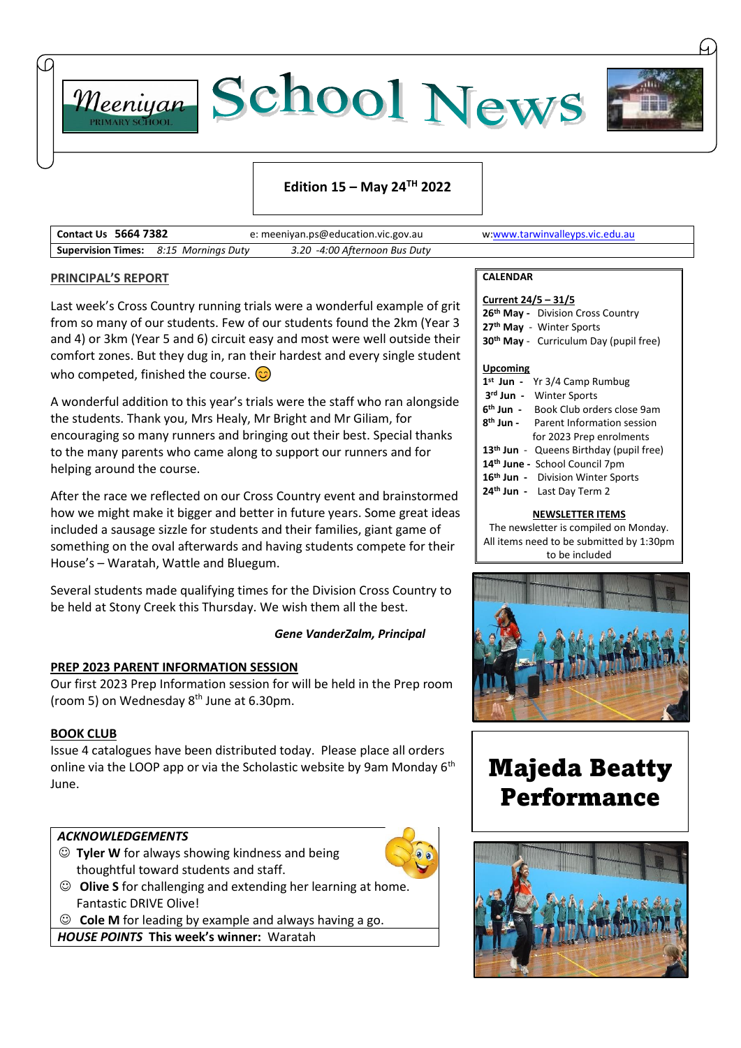



# **Edition 15 – May 24TH 2022**

| <b>Contact Us 5664 7382</b>                  | e: meeniyan.ps@education.vic.gov.au | w:www.tarwinvalleyps.vic.edu.au |
|----------------------------------------------|-------------------------------------|---------------------------------|
| <b>Supervision Times:</b> 8:15 Mornings Duty | 3.20 -4:00 Afternoon Bus Duty       |                                 |

#### **PRINCIPAL'S REPORT**

Last week's Cross Country running trials were a wonderful example of grit from so many of our students. Few of our students found the 2km (Year 3 and 4) or 3km (Year 5 and 6) circuit easy and most were well outside their comfort zones. But they dug in, ran their hardest and every single student who competed, finished the course.  $\odot$ 

A wonderful addition to this year's trials were the staff who ran alongside the students. Thank you, Mrs Healy, Mr Bright and Mr Giliam, for encouraging so many runners and bringing out their best. Special thanks to the many parents who came along to support our runners and for helping around the course.

After the race we reflected on our Cross Country event and brainstormed how we might make it bigger and better in future years. Some great ideas included a sausage sizzle for students and their families, giant game of something on the oval afterwards and having students compete for their House's – Waratah, Wattle and Bluegum.

Several students made qualifying times for the Division Cross Country to be held at Stony Creek this Thursday. We wish them all the best.

#### *Gene VanderZalm, Principal*

#### **PREP 2023 PARENT INFORMATION SESSION**

Our first 2023 Prep Information session for will be held in the Prep room (room 5) on Wednesday  $8<sup>th</sup>$  June at 6.30pm.

#### **BOOK CLUB**

Issue 4 catalogues have been distributed today. Please place all orders online via the LOOP app or via the Scholastic website by 9am Monday 6<sup>th</sup> June.

### *ACKNOWLEDGEMENTS*

☺ **Tyler W** for always showing kindness and being thoughtful toward students and staff.



☺ **Cole M** for leading by example and always having a go.

*HOUSE POINTS* **This week's winner:** Waratah

#### **CALENDAR**

| Current 24/5 - 31/5                                 |  |  |  |
|-----------------------------------------------------|--|--|--|
| 26th May - Division Cross Country                   |  |  |  |
| 27 <sup>th</sup> May - Winter Sports                |  |  |  |
| 30 <sup>th</sup> May - Curriculum Day (pupil free)  |  |  |  |
|                                                     |  |  |  |
| <b>Upcoming</b>                                     |  |  |  |
| Yr 3/4 Camp Rumbug<br>$1^{\rm st}$ Jun -            |  |  |  |
| 3rd Jun - Winter Sports                             |  |  |  |
| 6 <sup>th</sup> Jun - Book Club orders close 9am    |  |  |  |
| 8 <sup>th</sup> Jun - Parent Information session    |  |  |  |
| for 2023 Prep enrolments                            |  |  |  |
| 13 <sup>th</sup> Jun - Queens Birthday (pupil free) |  |  |  |
| 14th June - School Council 7pm                      |  |  |  |
| 16 <sup>th</sup> Jun - Division Winter Sports       |  |  |  |

**24th Jun -** Last Day Term 2

#### **NEWSLETTER ITEMS**

The newsletter is compiled on Monday. All items need to be submitted by 1:30pm to be included



Majeda Beatty Performance